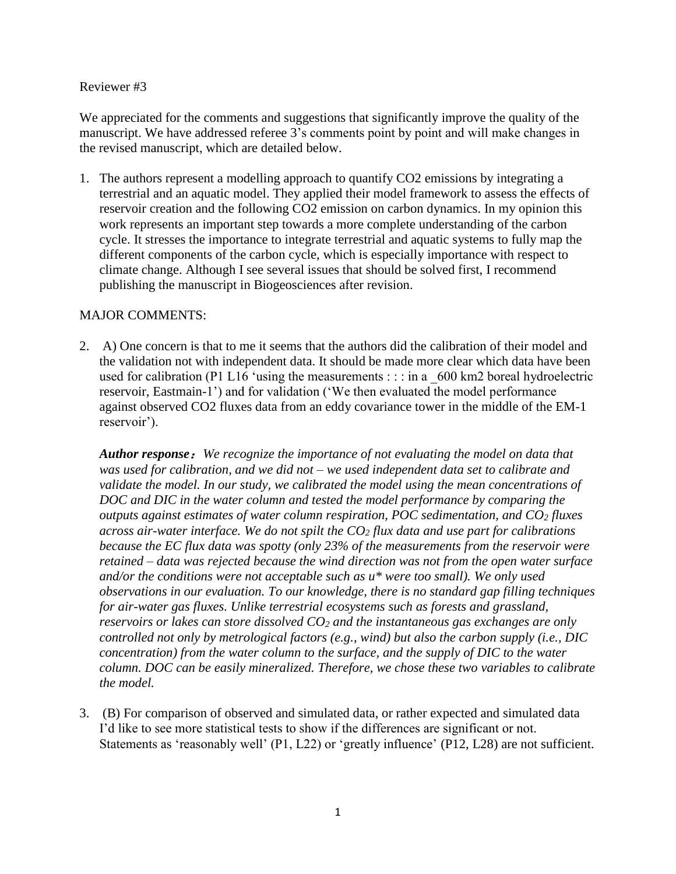#### Reviewer #3

We appreciated for the comments and suggestions that significantly improve the quality of the manuscript. We have addressed referee 3's comments point by point and will make changes in the revised manuscript, which are detailed below.

1. The authors represent a modelling approach to quantify CO2 emissions by integrating a terrestrial and an aquatic model. They applied their model framework to assess the effects of reservoir creation and the following CO2 emission on carbon dynamics. In my opinion this work represents an important step towards a more complete understanding of the carbon cycle. It stresses the importance to integrate terrestrial and aquatic systems to fully map the different components of the carbon cycle, which is especially importance with respect to climate change. Although I see several issues that should be solved first, I recommend publishing the manuscript in Biogeosciences after revision.

## MAJOR COMMENTS:

2. A) One concern is that to me it seems that the authors did the calibration of their model and the validation not with independent data. It should be made more clear which data have been used for calibration (P1 L16 'using the measurements : : : in a  $600 \text{ km}$ 2 boreal hydroelectric reservoir, Eastmain-1') and for validation ('We then evaluated the model performance against observed CO2 fluxes data from an eddy covariance tower in the middle of the EM-1 reservoir').

*Author response*:*We recognize the importance of not evaluating the model on data that was used for calibration, and we did not – we used independent data set to calibrate and*  validate the model. In our study, we calibrated the model using the mean concentrations of *DOC and DIC in the water column and tested the model performance by comparing the outputs against estimates of water column respiration, POC sedimentation, and CO<sup>2</sup> fluxes across air-water interface. We do not spilt the CO<sup>2</sup> flux data and use part for calibrations because the EC flux data was spotty (only 23% of the measurements from the reservoir were retained – data was rejected because the wind direction was not from the open water surface and/or the conditions were not acceptable such as u\* were too small). We only used observations in our evaluation. To our knowledge, there is no standard gap filling techniques for air-water gas fluxes. Unlike terrestrial ecosystems such as forests and grassland, reservoirs or lakes can store dissolved CO<sup>2</sup> and the instantaneous gas exchanges are only controlled not only by metrological factors (e.g., wind) but also the carbon supply (i.e., DIC concentration) from the water column to the surface, and the supply of DIC to the water column. DOC can be easily mineralized. Therefore, we chose these two variables to calibrate the model.*

3. (B) For comparison of observed and simulated data, or rather expected and simulated data I'd like to see more statistical tests to show if the differences are significant or not. Statements as 'reasonably well' (P1, L22) or 'greatly influence' (P12, L28) are not sufficient.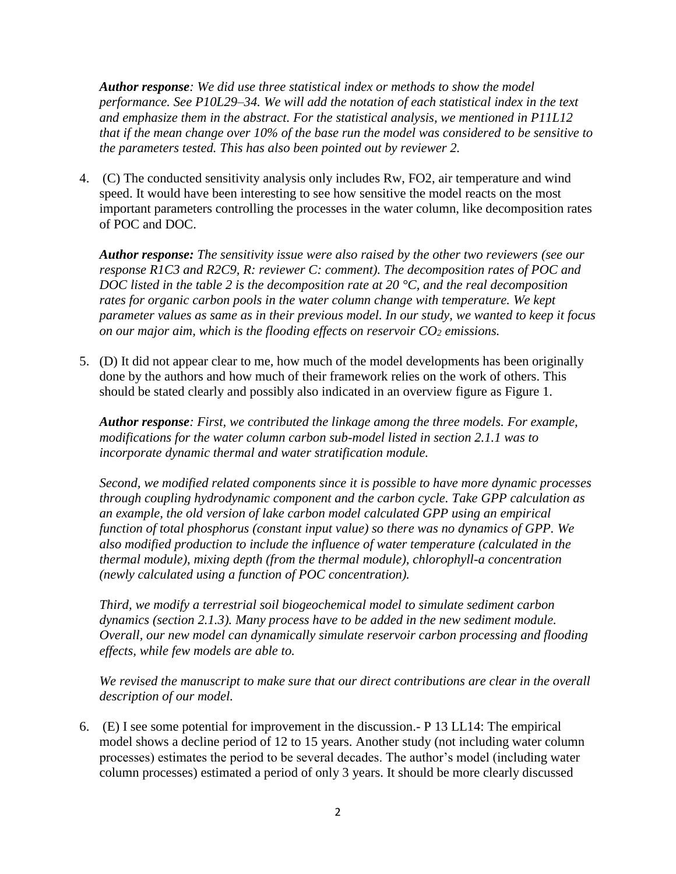*Author response: We did use three statistical index or methods to show the model performance. See P10L29–34. We will add the notation of each statistical index in the text and emphasize them in the abstract. For the statistical analysis, we mentioned in P11L12 that if the mean change over 10% of the base run the model was considered to be sensitive to the parameters tested. This has also been pointed out by reviewer 2.* 

4. (C) The conducted sensitivity analysis only includes Rw, FO2, air temperature and wind speed. It would have been interesting to see how sensitive the model reacts on the most important parameters controlling the processes in the water column, like decomposition rates of POC and DOC.

*Author response: The sensitivity issue were also raised by the other two reviewers (see our response R1C3 and R2C9, R: reviewer C: comment). The decomposition rates of POC and DOC listed in the table 2 is the decomposition rate at 20 °C, and the real decomposition rates for organic carbon pools in the water column change with temperature. We kept parameter values as same as in their previous model. In our study, we wanted to keep it focus on our major aim, which is the flooding effects on reservoir CO<sup>2</sup> emissions.* 

5. (D) It did not appear clear to me, how much of the model developments has been originally done by the authors and how much of their framework relies on the work of others. This should be stated clearly and possibly also indicated in an overview figure as Figure 1.

*Author response: First, we contributed the linkage among the three models. For example, modifications for the water column carbon sub-model listed in section 2.1.1 was to incorporate dynamic thermal and water stratification module.*

*Second, we modified related components since it is possible to have more dynamic processes through coupling hydrodynamic component and the carbon cycle. Take GPP calculation as an example, the old version of lake carbon model calculated GPP using an empirical function of total phosphorus (constant input value) so there was no dynamics of GPP. We also modified production to include the influence of water temperature (calculated in the thermal module), mixing depth (from the thermal module), chlorophyll-a concentration (newly calculated using a function of POC concentration).* 

*Third, we modify a terrestrial soil biogeochemical model to simulate sediment carbon dynamics (section 2.1.3). Many process have to be added in the new sediment module. Overall, our new model can dynamically simulate reservoir carbon processing and flooding effects, while few models are able to.*

*We revised the manuscript to make sure that our direct contributions are clear in the overall description of our model.* 

6. (E) I see some potential for improvement in the discussion.- P 13 LL14: The empirical model shows a decline period of 12 to 15 years. Another study (not including water column processes) estimates the period to be several decades. The author's model (including water column processes) estimated a period of only 3 years. It should be more clearly discussed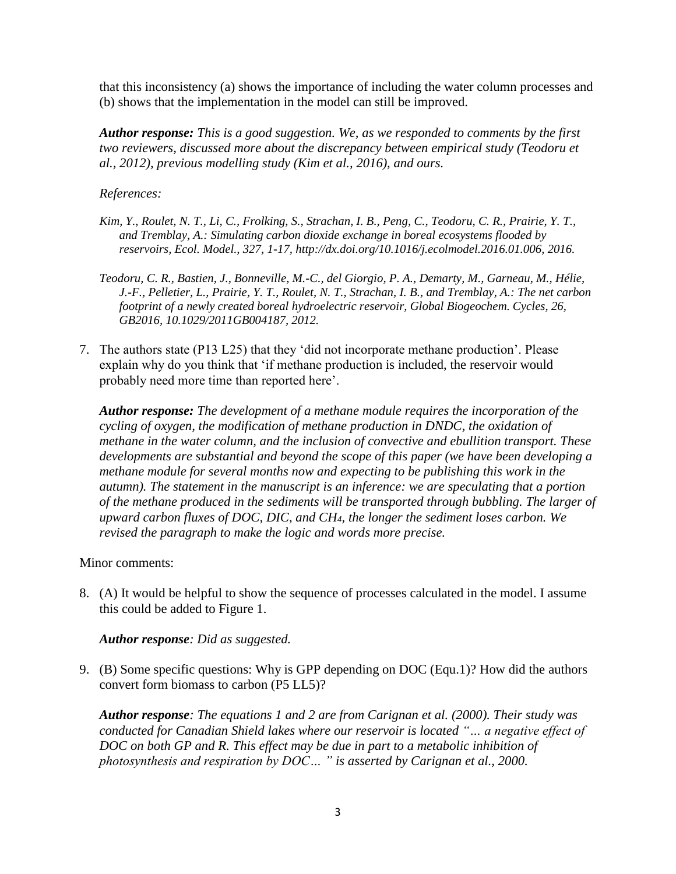that this inconsistency (a) shows the importance of including the water column processes and (b) shows that the implementation in the model can still be improved.

*Author response: This is a good suggestion. We, as we responded to comments by the first two reviewers, discussed more about the discrepancy between empirical study (Teodoru et al., 2012), previous modelling study (Kim et al., 2016), and ours.* 

# *References:*

- *Kim, Y., Roulet, N. T., Li, C., Frolking, S., Strachan, I. B., Peng, C., Teodoru, C. R., Prairie, Y. T., and Tremblay, A.: Simulating carbon dioxide exchange in boreal ecosystems flooded by reservoirs, Ecol. Model., 327, 1-17, http://dx.doi.org/10.1016/j.ecolmodel.2016.01.006, 2016.*
- *Teodoru, C. R., Bastien, J., Bonneville, M.-C., del Giorgio, P. A., Demarty, M., Garneau, M., Hélie, J.-F., Pelletier, L., Prairie, Y. T., Roulet, N. T., Strachan, I. B., and Tremblay, A.: The net carbon footprint of a newly created boreal hydroelectric reservoir, Global Biogeochem. Cycles, 26, GB2016, 10.1029/2011GB004187, 2012.*
- 7. The authors state (P13 L25) that they 'did not incorporate methane production'. Please explain why do you think that 'if methane production is included, the reservoir would probably need more time than reported here'.

*Author response: The development of a methane module requires the incorporation of the cycling of oxygen, the modification of methane production in DNDC, the oxidation of methane in the water column, and the inclusion of convective and ebullition transport. These developments are substantial and beyond the scope of this paper (we have been developing a methane module for several months now and expecting to be publishing this work in the autumn). The statement in the manuscript is an inference: we are speculating that a portion of the methane produced in the sediments will be transported through bubbling. The larger of upward carbon fluxes of DOC, DIC, and CH4, the longer the sediment loses carbon. We revised the paragraph to make the logic and words more precise.* 

## Minor comments:

8. (A) It would be helpful to show the sequence of processes calculated in the model. I assume this could be added to Figure 1.

# *Author response: Did as suggested.*

9. (B) Some specific questions: Why is GPP depending on DOC (Equ.1)? How did the authors convert form biomass to carbon (P5 LL5)?

*Author response: The equations 1 and 2 are from Carignan et al. (2000). Their study was conducted for Canadian Shield lakes where our reservoir is located "… a negative effect of DOC on both GP and R. This effect may be due in part to a metabolic inhibition of photosynthesis and respiration by DOC… " is asserted by Carignan et al., 2000.*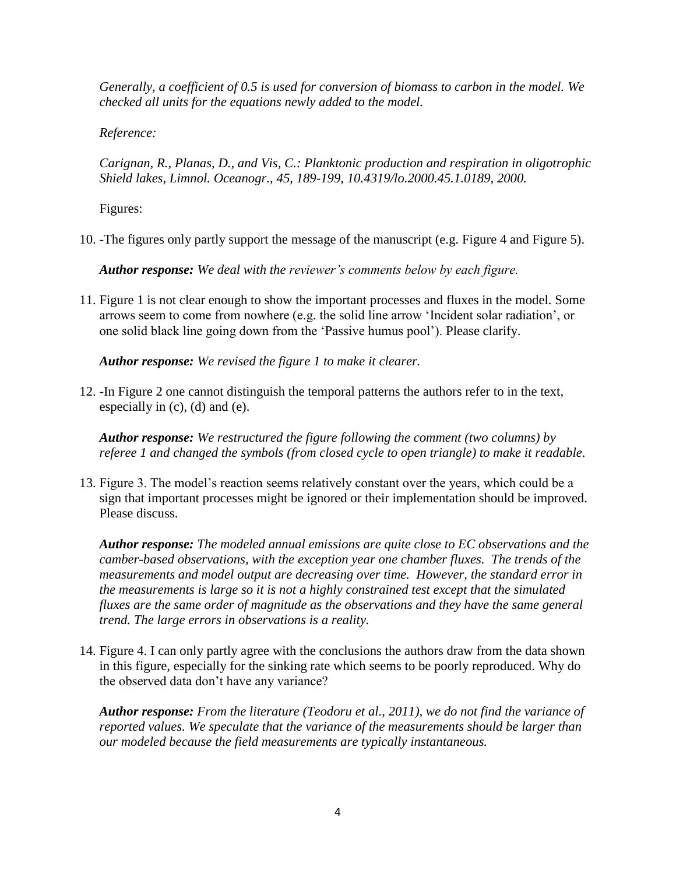*Generally, a coefficient of 0.5 is used for conversion of biomass to carbon in the model. We checked all units for the equations newly added to the model.* 

*Reference:* 

*Carignan, R., Planas, D., and Vis, C.: Planktonic production and respiration in oligotrophic Shield lakes, Limnol. Oceanogr., 45, 189-199, 10.4319/lo.2000.45.1.0189, 2000.*

Figures:

10. -The figures only partly support the message of the manuscript (e.g. Figure 4 and Figure 5).

*Author response: We deal with the reviewer's comments below by each figure.*

11. Figure 1 is not clear enough to show the important processes and fluxes in the model. Some arrows seem to come from nowhere (e.g. the solid line arrow 'Incident solar radiation', or one solid black line going down from the 'Passive humus pool'). Please clarify.

*Author response: We revised the figure 1 to make it clearer.* 

12. -In Figure 2 one cannot distinguish the temporal patterns the authors refer to in the text, especially in (c), (d) and (e).

*Author response: We restructured the figure following the comment (two columns) by referee 1 and changed the symbols (from closed cycle to open triangle) to make it readable.*

13. Figure 3. The model's reaction seems relatively constant over the years, which could be a sign that important processes might be ignored or their implementation should be improved. Please discuss.

*Author response: The modeled annual emissions are quite close to EC observations and the camber-based observations, with the exception year one chamber fluxes. The trends of the measurements and model output are decreasing over time. However, the standard error in the measurements is large so it is not a highly constrained test except that the simulated fluxes are the same order of magnitude as the observations and they have the same general trend. The large errors in observations is a reality.* 

14. Figure 4. I can only partly agree with the conclusions the authors draw from the data shown in this figure, especially for the sinking rate which seems to be poorly reproduced. Why do the observed data don't have any variance?

*Author response: From the literature (Teodoru et al., 2011), we do not find the variance of reported values. We speculate that the variance of the measurements should be larger than our modeled because the field measurements are typically instantaneous.*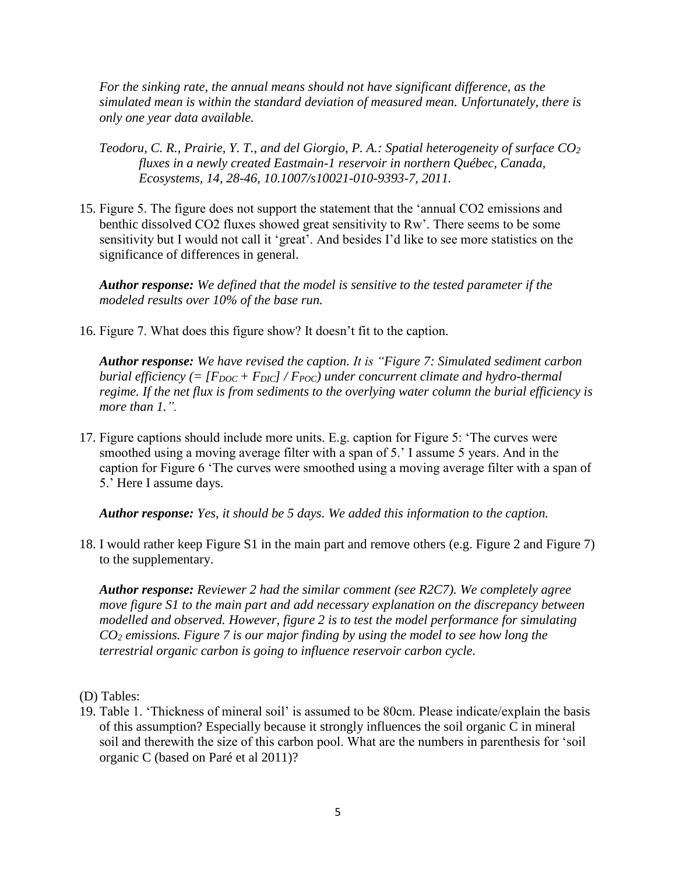*For the sinking rate, the annual means should not have significant difference, as the simulated mean is within the standard deviation of measured mean. Unfortunately, there is only one year data available.* 

- *Teodoru, C. R., Prairie, Y. T., and del Giorgio, P. A.: Spatial heterogeneity of surface CO<sup>2</sup> fluxes in a newly created Eastmain-1 reservoir in northern Québec, Canada, Ecosystems, 14, 28-46, 10.1007/s10021-010-9393-7, 2011.*
- 15. Figure 5. The figure does not support the statement that the 'annual CO2 emissions and benthic dissolved CO2 fluxes showed great sensitivity to Rw'. There seems to be some sensitivity but I would not call it 'great'. And besides I'd like to see more statistics on the significance of differences in general.

*Author response: We defined that the model is sensitive to the tested parameter if the modeled results over 10% of the base run.*

16. Figure 7. What does this figure show? It doesn't fit to the caption.

*Author response: We have revised the caption. It is "Figure 7: Simulated sediment carbon burial efficiency (= [FDOC + FDIC] / FPOC) under concurrent climate and hydro-thermal regime. If the net flux is from sediments to the overlying water column the burial efficiency is more than 1.".*

17. Figure captions should include more units. E.g. caption for Figure 5: 'The curves were smoothed using a moving average filter with a span of 5.' I assume 5 years. And in the caption for Figure 6 'The curves were smoothed using a moving average filter with a span of 5.' Here I assume days.

*Author response: Yes, it should be 5 days. We added this information to the caption.* 

18. I would rather keep Figure S1 in the main part and remove others (e.g. Figure 2 and Figure 7) to the supplementary.

*Author response: Reviewer 2 had the similar comment (see R2C7). We completely agree move figure S1 to the main part and add necessary explanation on the discrepancy between modelled and observed. However, figure 2 is to test the model performance for simulating CO<sup>2</sup> emissions. Figure 7 is our major finding by using the model to see how long the terrestrial organic carbon is going to influence reservoir carbon cycle.* 

- (D) Tables:
- 19. Table 1. 'Thickness of mineral soil' is assumed to be 80cm. Please indicate/explain the basis of this assumption? Especially because it strongly influences the soil organic C in mineral soil and therewith the size of this carbon pool. What are the numbers in parenthesis for 'soil organic C (based on Paré et al 2011)?